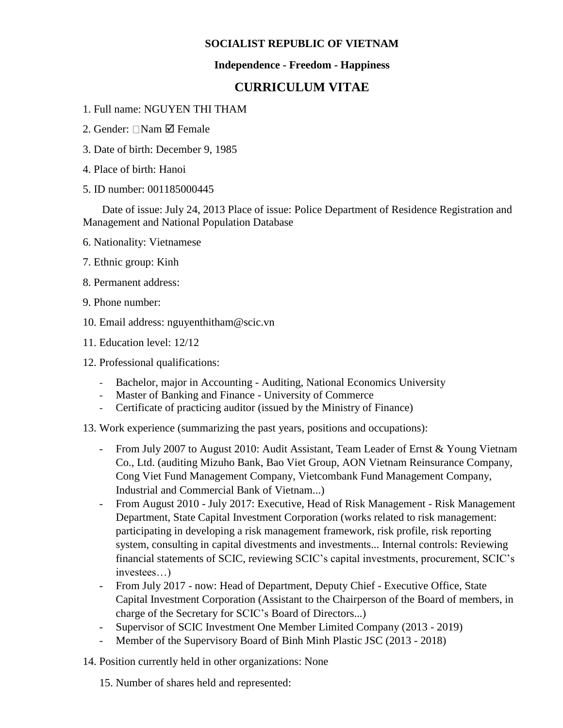### **SOCIALIST REPUBLIC OF VIETNAM**

### **Independence - Freedom - Happiness**

## **CURRICULUM VITAE**

- 1. Full name: NGUYEN THI THAM
- 2. Gender:  $\Box$ Nam  $\Box$  Female
- 3. Date of birth: December 9, 1985
- 4. Place of birth: Hanoi
- 5. ID number: 001185000445

 Date of issue: July 24, 2013 Place of issue: Police Department of Residence Registration and Management and National Population Database

- 6. Nationality: Vietnamese
- 7. Ethnic group: Kinh
- 8. Permanent address:
- 9. Phone number:
- 10. Email address: nguyenthitham@scic.vn
- 11. Education level: 12/12
- 12. Professional qualifications:
	- Bachelor, major in Accounting Auditing, National Economics University
	- Master of Banking and Finance University of Commerce
	- Certificate of practicing auditor (issued by the Ministry of Finance)
- 13. Work experience (summarizing the past years, positions and occupations):
	- From July 2007 to August 2010: Audit Assistant, Team Leader of Ernst & Young Vietnam Co., Ltd. (auditing Mizuho Bank, Bao Viet Group, AON Vietnam Reinsurance Company, Cong Viet Fund Management Company, Vietcombank Fund Management Company, Industrial and Commercial Bank of Vietnam...)
	- From August 2010 July 2017: Executive, Head of Risk Management Risk Management Department, State Capital Investment Corporation (works related to risk management: participating in developing a risk management framework, risk profile, risk reporting system, consulting in capital divestments and investments... Internal controls: Reviewing financial statements of SCIC, reviewing SCIC's capital investments, procurement, SCIC's investees…)
	- From July 2017 now: Head of Department, Deputy Chief Executive Office, State Capital Investment Corporation (Assistant to the Chairperson of the Board of members, in charge of the Secretary for SCIC's Board of Directors...)
	- Supervisor of SCIC Investment One Member Limited Company (2013 2019)
	- Member of the Supervisory Board of Binh Minh Plastic JSC (2013 2018)
- 14. Position currently held in other organizations: None

15. Number of shares held and represented: